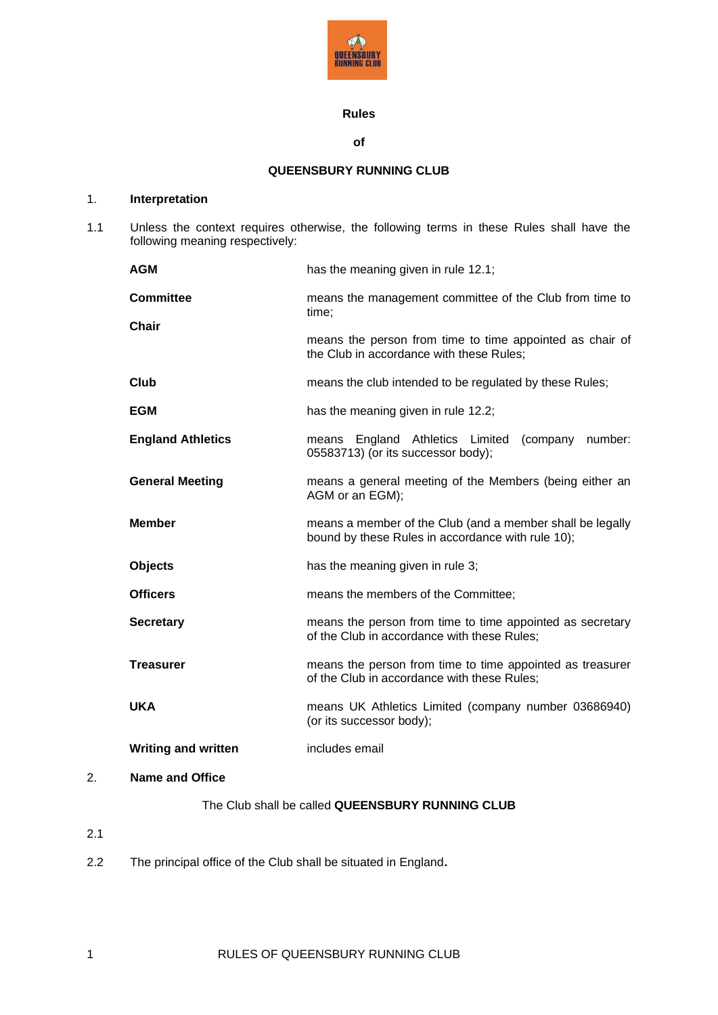

# **Rules**

### **of**

# **QUEENSBURY RUNNING CLUB**

# 1. **Interpretation**

1.1 Unless the context requires otherwise, the following terms in these Rules shall have the following meaning respectively:

|    | <b>AGM</b>                 | has the meaning given in rule 12.1;                                                                            |
|----|----------------------------|----------------------------------------------------------------------------------------------------------------|
|    | <b>Committee</b>           | means the management committee of the Club from time to<br>time;                                               |
|    | <b>Chair</b>               | means the person from time to time appointed as chair of<br>the Club in accordance with these Rules;           |
|    | <b>Club</b>                | means the club intended to be regulated by these Rules;                                                        |
|    | <b>EGM</b>                 | has the meaning given in rule 12.2;                                                                            |
|    | <b>England Athletics</b>   | means England Athletics Limited (company number:<br>05583713) (or its successor body);                         |
|    | <b>General Meeting</b>     | means a general meeting of the Members (being either an<br>AGM or an EGM);                                     |
|    | <b>Member</b>              | means a member of the Club (and a member shall be legally<br>bound by these Rules in accordance with rule 10); |
|    | <b>Objects</b>             | has the meaning given in rule 3;                                                                               |
|    | <b>Officers</b>            | means the members of the Committee;                                                                            |
|    | <b>Secretary</b>           | means the person from time to time appointed as secretary<br>of the Club in accordance with these Rules;       |
|    | <b>Treasurer</b>           | means the person from time to time appointed as treasurer<br>of the Club in accordance with these Rules;       |
|    | <b>UKA</b>                 | means UK Athletics Limited (company number 03686940)<br>(or its successor body);                               |
|    | <b>Writing and written</b> | includes email                                                                                                 |
| 2. | <b>Name and Office</b>     |                                                                                                                |
|    |                            |                                                                                                                |

# The Club shall be called **QUEENSBURY RUNNING CLUB**

- 2.1
- 2.2 The principal office of the Club shall be situated in England**.**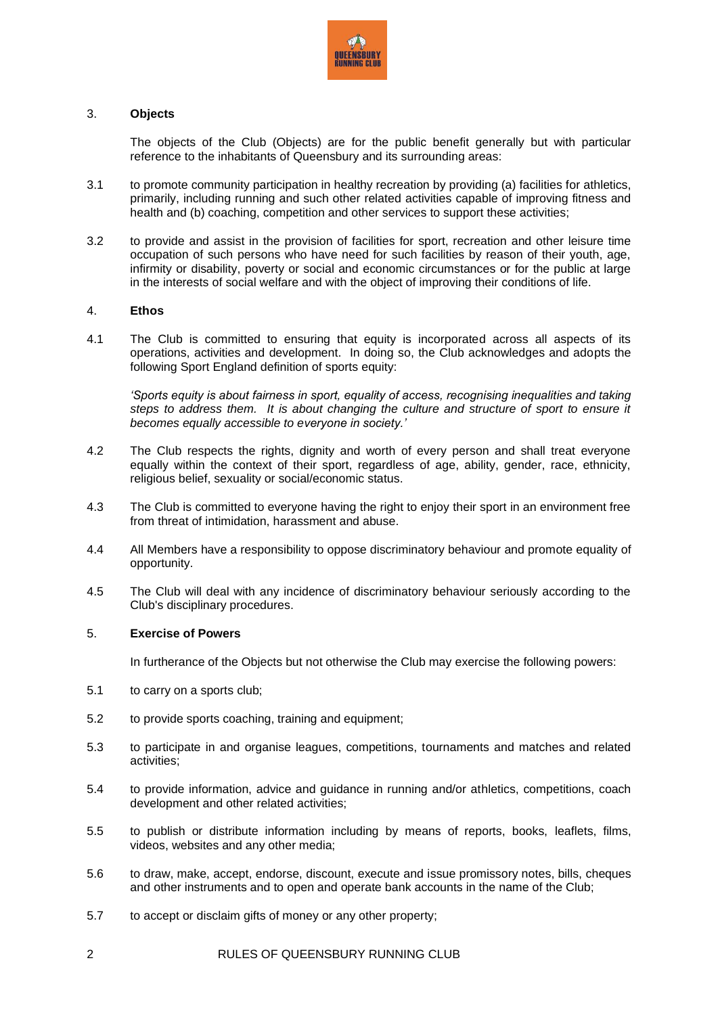

### <span id="page-1-0"></span>3. **Objects**

The objects of the Club (Objects) are for the public benefit generally but with particular reference to the inhabitants of Queensbury and its surrounding areas:

- 3.1 to promote community participation in healthy recreation by providing (a) facilities for athletics, primarily, including running and such other related activities capable of improving fitness and health and (b) coaching, competition and other services to support these activities;
- 3.2 to provide and assist in the provision of facilities for sport, recreation and other leisure time occupation of such persons who have need for such facilities by reason of their youth, age, infirmity or disability, poverty or social and economic circumstances or for the public at large in the interests of social welfare and with the object of improving their conditions of life.

## 4. **Ethos**

4.1 The Club is committed to ensuring that equity is incorporated across all aspects of its operations, activities and development. In doing so, the Club acknowledges and adopts the following Sport England definition of sports equity:

*'Sports equity is about fairness in sport, equality of access, recognising inequalities and taking*  steps to address them. It is about changing the culture and structure of sport to ensure it *becomes equally accessible to everyone in society.'*

- 4.2 The Club respects the rights, dignity and worth of every person and shall treat everyone equally within the context of their sport, regardless of age, ability, gender, race, ethnicity, religious belief, sexuality or social/economic status.
- 4.3 The Club is committed to everyone having the right to enjoy their sport in an environment free from threat of intimidation, harassment and abuse.
- 4.4 All Members have a responsibility to oppose discriminatory behaviour and promote equality of opportunity.
- 4.5 The Club will deal with any incidence of discriminatory behaviour seriously according to the Club's disciplinary procedures.

#### 5. **Exercise of Powers**

In furtherance of the Objects but not otherwise the Club may exercise the following powers:

- 5.1 to carry on a sports club;
- 5.2 to provide sports coaching, training and equipment;
- 5.3 to participate in and organise leagues, competitions, tournaments and matches and related activities;
- 5.4 to provide information, advice and guidance in running and/or athletics, competitions, coach development and other related activities;
- 5.5 to publish or distribute information including by means of reports, books, leaflets, films, videos, websites and any other media;
- 5.6 to draw, make, accept, endorse, discount, execute and issue promissory notes, bills, cheques and other instruments and to open and operate bank accounts in the name of the Club;
- 5.7 to accept or disclaim gifts of money or any other property;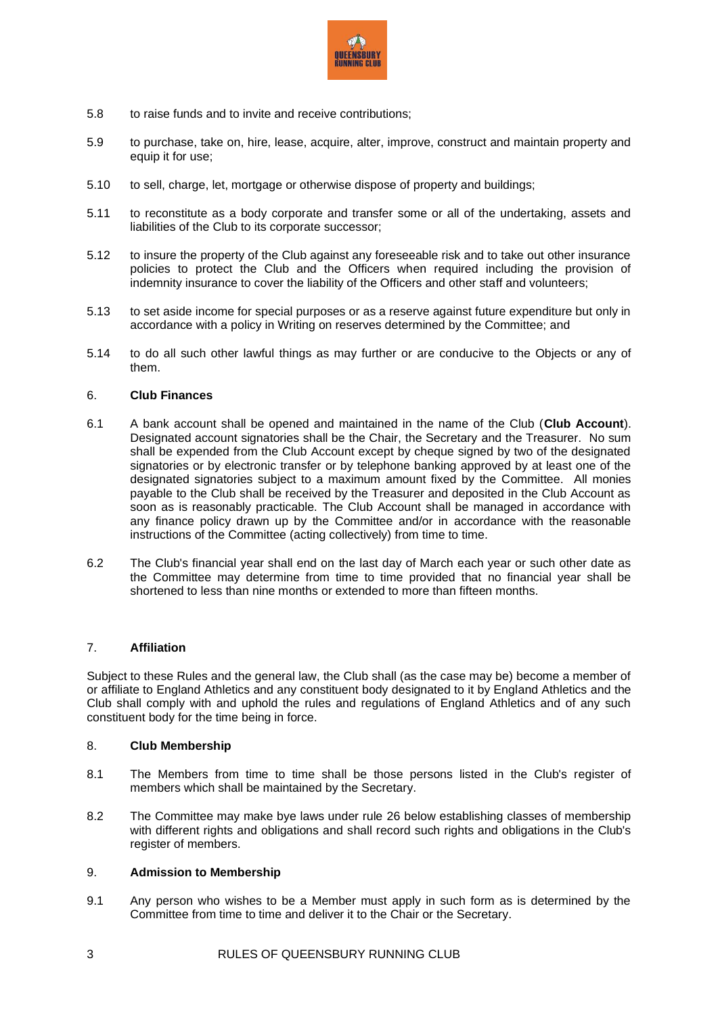

- 5.8 to raise funds and to invite and receive contributions;
- 5.9 to purchase, take on, hire, lease, acquire, alter, improve, construct and maintain property and equip it for use;
- 5.10 to sell, charge, let, mortgage or otherwise dispose of property and buildings;
- 5.11 to reconstitute as a body corporate and transfer some or all of the undertaking, assets and liabilities of the Club to its corporate successor;
- 5.12 to insure the property of the Club against any foreseeable risk and to take out other insurance policies to protect the Club and the Officers when required including the provision of indemnity insurance to cover the liability of the Officers and other staff and volunteers;
- 5.13 to set aside income for special purposes or as a reserve against future expenditure but only in accordance with a policy in Writing on reserves determined by the Committee; and
- 5.14 to do all such other lawful things as may further or are conducive to the Objects or any of them.

## 6. **Club Finances**

- 6.1 A bank account shall be opened and maintained in the name of the Club (**Club Account**). Designated account signatories shall be the Chair, the Secretary and the Treasurer. No sum shall be expended from the Club Account except by cheque signed by two of the designated signatories or by electronic transfer or by telephone banking approved by at least one of the designated signatories subject to a maximum amount fixed by the Committee. All monies payable to the Club shall be received by the Treasurer and deposited in the Club Account as soon as is reasonably practicable. The Club Account shall be managed in accordance with any finance policy drawn up by the Committee and/or in accordance with the reasonable instructions of the Committee (acting collectively) from time to time.
- 6.2 The Club's financial year shall end on the last day of March each year or such other date as the Committee may determine from time to time provided that no financial year shall be shortened to less than nine months or extended to more than fifteen months.

## 7. **Affiliation**

Subject to these Rules and the general law, the Club shall (as the case may be) become a member of or affiliate to England Athletics and any constituent body designated to it by England Athletics and the Club shall comply with and uphold the rules and regulations of England Athletics and of any such constituent body for the time being in force.

## 8. **Club Membership**

- 8.1 The Members from time to time shall be those persons listed in the Club's register of members which shall be maintained by the Secretary.
- 8.2 The Committee may make bye laws under rule [26](#page-8-0) below establishing classes of membership with different rights and obligations and shall record such rights and obligations in the Club's register of members.

## 9. **Admission to Membership**

9.1 Any person who wishes to be a Member must apply in such form as is determined by the Committee from time to time and deliver it to the Chair or the Secretary.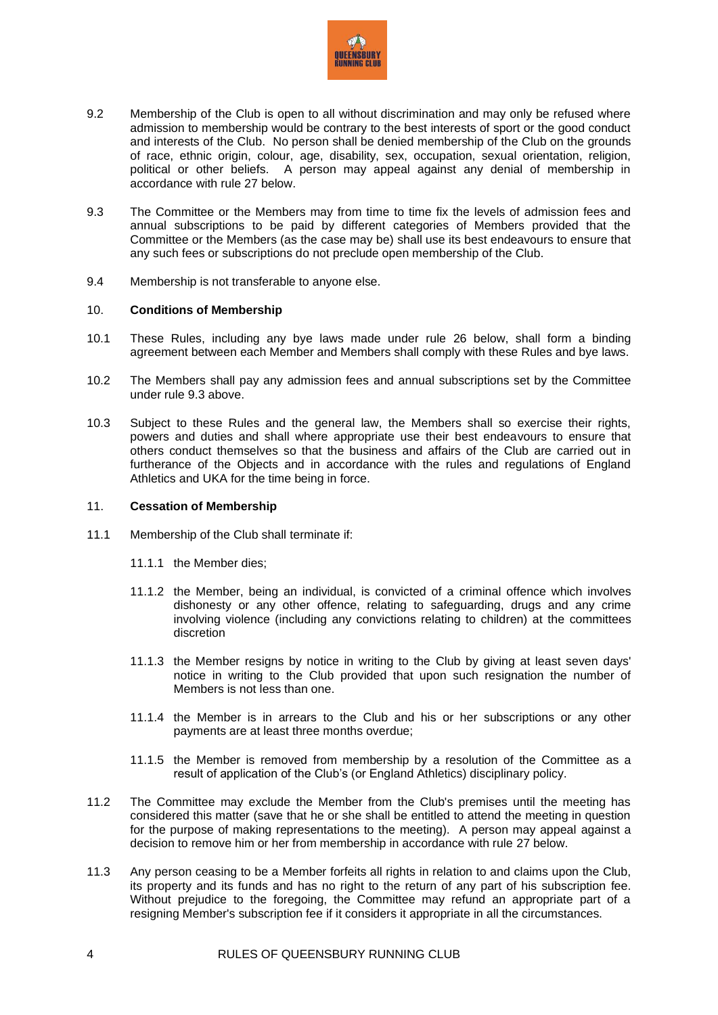

- 9.2 Membership of the Club is open to all without discrimination and may only be refused where admission to membership would be contrary to the best interests of sport or the good conduct and interests of the Club. No person shall be denied membership of the Club on the grounds of race, ethnic origin, colour, age, disability, sex, occupation, sexual orientation, religion, political or other beliefs. A person may appeal against any denial of membership in accordance with rule [27](#page-9-0) below.
- <span id="page-3-1"></span>9.3 The Committee or the Members may from time to time fix the levels of admission fees and annual subscriptions to be paid by different categories of Members provided that the Committee or the Members (as the case may be) shall use its best endeavours to ensure that any such fees or subscriptions do not preclude open membership of the Club.
- 9.4 Membership is not transferable to anyone else.

### <span id="page-3-0"></span>10. **Conditions of Membership**

- 10.1 These Rules, including any bye laws made under rule [26](#page-8-0) below, shall form a binding agreement between each Member and Members shall comply with these Rules and bye laws.
- 10.2 The Members shall pay any admission fees and annual subscriptions set by the Committee under rule [9.3](#page-3-1) above.
- 10.3 Subject to these Rules and the general law, the Members shall so exercise their rights, powers and duties and shall where appropriate use their best endeavours to ensure that others conduct themselves so that the business and affairs of the Club are carried out in furtherance of the Objects and in accordance with the rules and regulations of England Athletics and UKA for the time being in force.

#### 11. **Cessation of Membership**

- 11.1 Membership of the Club shall terminate if:
	- 11.1.1 the Member dies;
	- 11.1.2 the Member, being an individual, is convicted of a criminal offence which involves dishonesty or any other offence, relating to safeguarding, drugs and any crime involving violence (including any convictions relating to children) at the committees discretion
	- 11.1.3 the Member resigns by notice in writing to the Club by giving at least seven days' notice in writing to the Club provided that upon such resignation the number of Members is not less than one.
	- 11.1.4 the Member is in arrears to the Club and his or her subscriptions or any other payments are at least three months overdue;
	- 11.1.5 the Member is removed from membership by a resolution of the Committee as a result of application of the Club's (or England Athletics) disciplinary policy.
- 11.2 The Committee may exclude the Member from the Club's premises until the meeting has considered this matter (save that he or she shall be entitled to attend the meeting in question for the purpose of making representations to the meeting). A person may appeal against a decision to remove him or her from membership in accordance with rule [27](#page-9-0) below.
- 11.3 Any person ceasing to be a Member forfeits all rights in relation to and claims upon the Club, its property and its funds and has no right to the return of any part of his subscription fee. Without prejudice to the foregoing, the Committee may refund an appropriate part of a resigning Member's subscription fee if it considers it appropriate in all the circumstances.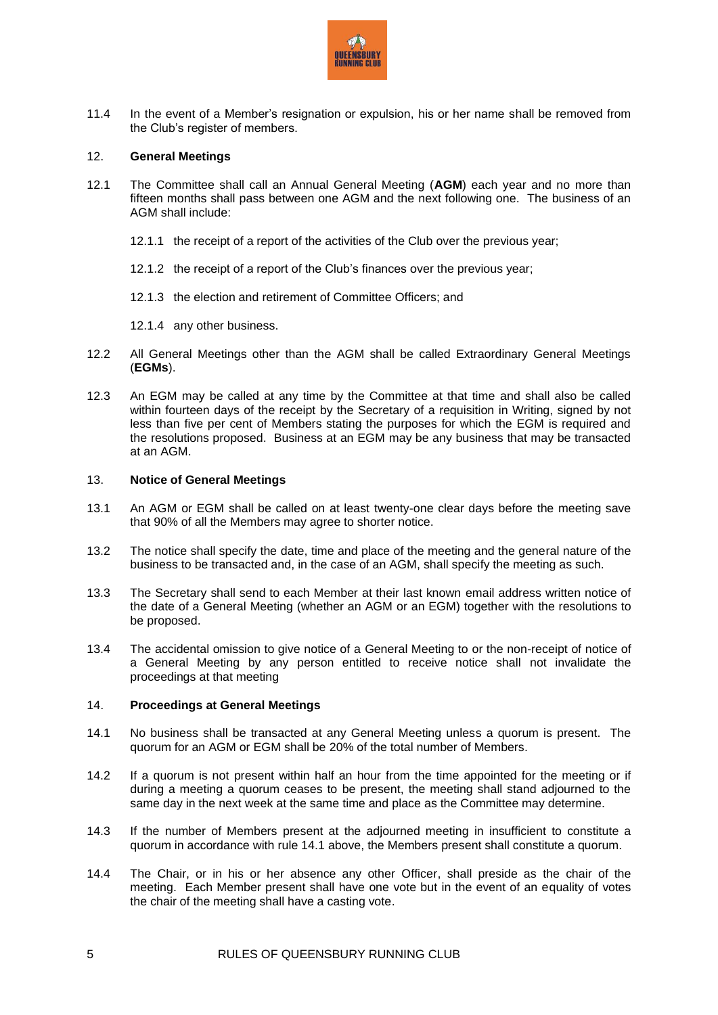

11.4 In the event of a Member's resignation or expulsion, his or her name shall be removed from the Club's register of members.

### 12. **General Meetings**

- <span id="page-4-0"></span>12.1 The Committee shall call an Annual General Meeting (**AGM**) each year and no more than fifteen months shall pass between one AGM and the next following one. The business of an AGM shall include:
	- 12.1.1 the receipt of a report of the activities of the Club over the previous year;
	- 12.1.2 the receipt of a report of the Club's finances over the previous year;
	- 12.1.3 the election and retirement of Committee Officers; and
	- 12.1.4 any other business.
- <span id="page-4-1"></span>12.2 All General Meetings other than the AGM shall be called Extraordinary General Meetings (**EGMs**).
- 12.3 An EGM may be called at any time by the Committee at that time and shall also be called within fourteen days of the receipt by the Secretary of a requisition in Writing, signed by not less than five per cent of Members stating the purposes for which the EGM is required and the resolutions proposed. Business at an EGM may be any business that may be transacted at an AGM.

#### 13. **Notice of General Meetings**

- 13.1 An AGM or EGM shall be called on at least twenty-one clear days before the meeting save that 90% of all the Members may agree to shorter notice.
- 13.2 The notice shall specify the date, time and place of the meeting and the general nature of the business to be transacted and, in the case of an AGM, shall specify the meeting as such.
- 13.3 The Secretary shall send to each Member at their last known email address written notice of the date of a General Meeting (whether an AGM or an EGM) together with the resolutions to be proposed.
- 13.4 The accidental omission to give notice of a General Meeting to or the non-receipt of notice of a General Meeting by any person entitled to receive notice shall not invalidate the proceedings at that meeting

### 14. **Proceedings at General Meetings**

- <span id="page-4-2"></span>14.1 No business shall be transacted at any General Meeting unless a quorum is present. The quorum for an AGM or EGM shall be 20% of the total number of Members.
- 14.2 If a quorum is not present within half an hour from the time appointed for the meeting or if during a meeting a quorum ceases to be present, the meeting shall stand adjourned to the same day in the next week at the same time and place as the Committee may determine.
- 14.3 If the number of Members present at the adjourned meeting in insufficient to constitute a quorum in accordance with rul[e 14.1](#page-4-2) above, the Members present shall constitute a quorum.
- 14.4 The Chair, or in his or her absence any other Officer, shall preside as the chair of the meeting. Each Member present shall have one vote but in the event of an equality of votes the chair of the meeting shall have a casting vote.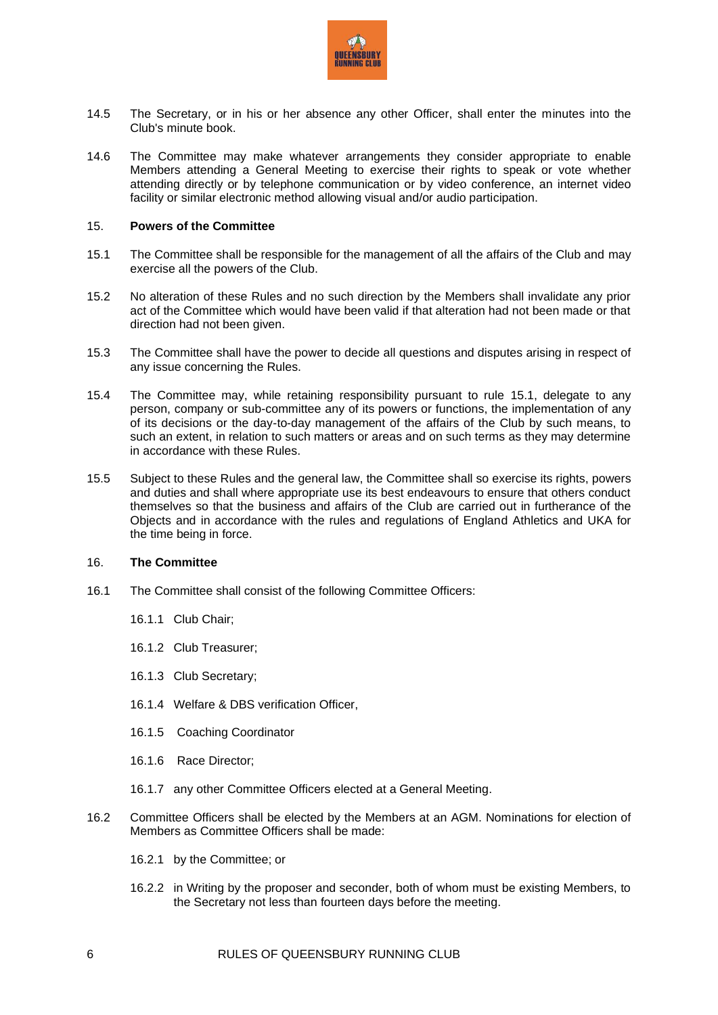

- 14.5 The Secretary, or in his or her absence any other Officer, shall enter the minutes into the Club's minute book.
- 14.6 The Committee may make whatever arrangements they consider appropriate to enable Members attending a General Meeting to exercise their rights to speak or vote whether attending directly or by telephone communication or by video conference, an internet video facility or similar electronic method allowing visual and/or audio participation.

#### 15. **Powers of the Committee**

- <span id="page-5-0"></span>15.1 The Committee shall be responsible for the management of all the affairs of the Club and may exercise all the powers of the Club.
- 15.2 No alteration of these Rules and no such direction by the Members shall invalidate any prior act of the Committee which would have been valid if that alteration had not been made or that direction had not been given.
- 15.3 The Committee shall have the power to decide all questions and disputes arising in respect of any issue concerning the Rules.
- 15.4 The Committee may, while retaining responsibility pursuant to rule [15.1,](#page-5-0) delegate to any person, company or sub-committee any of its powers or functions, the implementation of any of its decisions or the day-to-day management of the affairs of the Club by such means, to such an extent, in relation to such matters or areas and on such terms as they may determine in accordance with these Rules.
- 15.5 Subject to these Rules and the general law, the Committee shall so exercise its rights, powers and duties and shall where appropriate use its best endeavours to ensure that others conduct themselves so that the business and affairs of the Club are carried out in furtherance of the Objects and in accordance with the rules and regulations of England Athletics and UKA for the time being in force.

### 16. **The Committee**

- 16.1 The Committee shall consist of the following Committee Officers:
	- 16.1.1 Club Chair;
	- 16.1.2 Club Treasurer;
	- 16.1.3 Club Secretary;
	- 16.1.4 Welfare & DBS verification Officer,
	- 16.1.5 Coaching Coordinator
	- 16.1.6 Race Director;
	- 16.1.7 any other Committee Officers elected at a General Meeting.
- 16.2 Committee Officers shall be elected by the Members at an AGM. Nominations for election of Members as Committee Officers shall be made:
	- 16.2.1 by the Committee; or
	- 16.2.2 in Writing by the proposer and seconder, both of whom must be existing Members, to the Secretary not less than fourteen days before the meeting.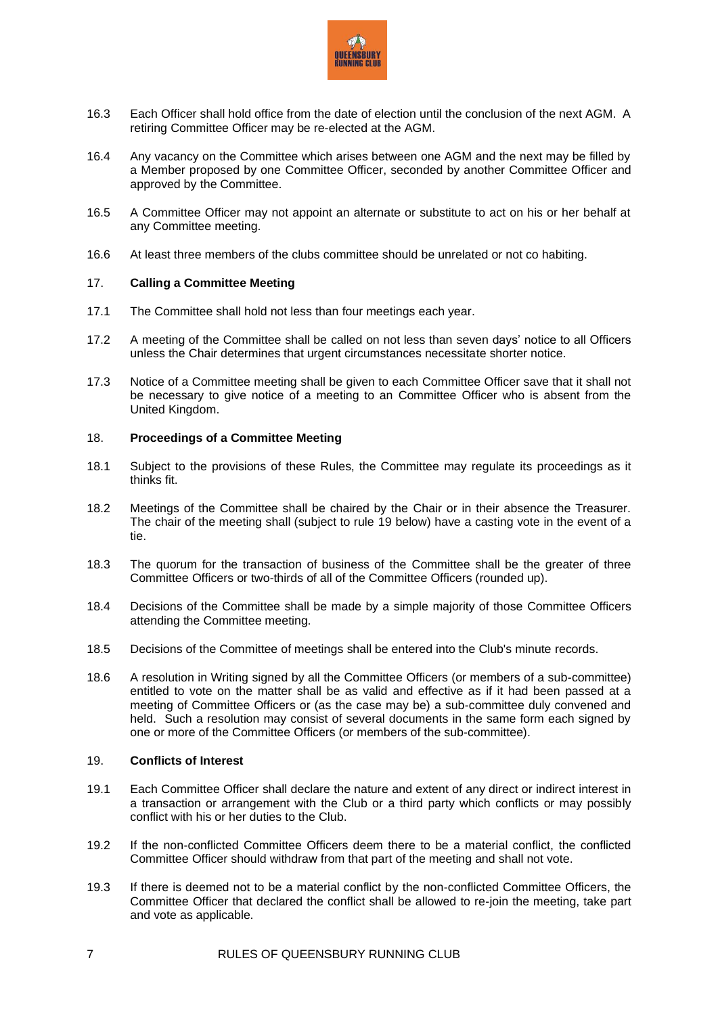

- 16.3 Each Officer shall hold office from the date of election until the conclusion of the next AGM. A retiring Committee Officer may be re-elected at the AGM.
- 16.4 Any vacancy on the Committee which arises between one AGM and the next may be filled by a Member proposed by one Committee Officer, seconded by another Committee Officer and approved by the Committee.
- 16.5 A Committee Officer may not appoint an alternate or substitute to act on his or her behalf at any Committee meeting.
- 16.6 At least three members of the clubs committee should be unrelated or not co habiting.

### 17. **Calling a Committee Meeting**

- 17.1 The Committee shall hold not less than four meetings each year.
- 17.2 A meeting of the Committee shall be called on not less than seven days' notice to all Officers unless the Chair determines that urgent circumstances necessitate shorter notice.
- 17.3 Notice of a Committee meeting shall be given to each Committee Officer save that it shall not be necessary to give notice of a meeting to an Committee Officer who is absent from the United Kingdom.

#### 18. **Proceedings of a Committee Meeting**

- 18.1 Subject to the provisions of these Rules, the Committee may regulate its proceedings as it thinks fit.
- 18.2 Meetings of the Committee shall be chaired by the Chair or in their absence the Treasurer. The chair of the meeting shall (subject to rule [19](#page-6-0) below) have a casting vote in the event of a tie.
- 18.3 The quorum for the transaction of business of the Committee shall be the greater of three Committee Officers or two-thirds of all of the Committee Officers (rounded up).
- 18.4 Decisions of the Committee shall be made by a simple majority of those Committee Officers attending the Committee meeting.
- 18.5 Decisions of the Committee of meetings shall be entered into the Club's minute records.
- 18.6 A resolution in Writing signed by all the Committee Officers (or members of a sub-committee) entitled to vote on the matter shall be as valid and effective as if it had been passed at a meeting of Committee Officers or (as the case may be) a sub-committee duly convened and held. Such a resolution may consist of several documents in the same form each signed by one or more of the Committee Officers (or members of the sub-committee).

#### <span id="page-6-0"></span>19. **Conflicts of Interest**

- 19.1 Each Committee Officer shall declare the nature and extent of any direct or indirect interest in a transaction or arrangement with the Club or a third party which conflicts or may possibly conflict with his or her duties to the Club.
- 19.2 If the non-conflicted Committee Officers deem there to be a material conflict, the conflicted Committee Officer should withdraw from that part of the meeting and shall not vote.
- 19.3 If there is deemed not to be a material conflict by the non-conflicted Committee Officers, the Committee Officer that declared the conflict shall be allowed to re-join the meeting, take part and vote as applicable.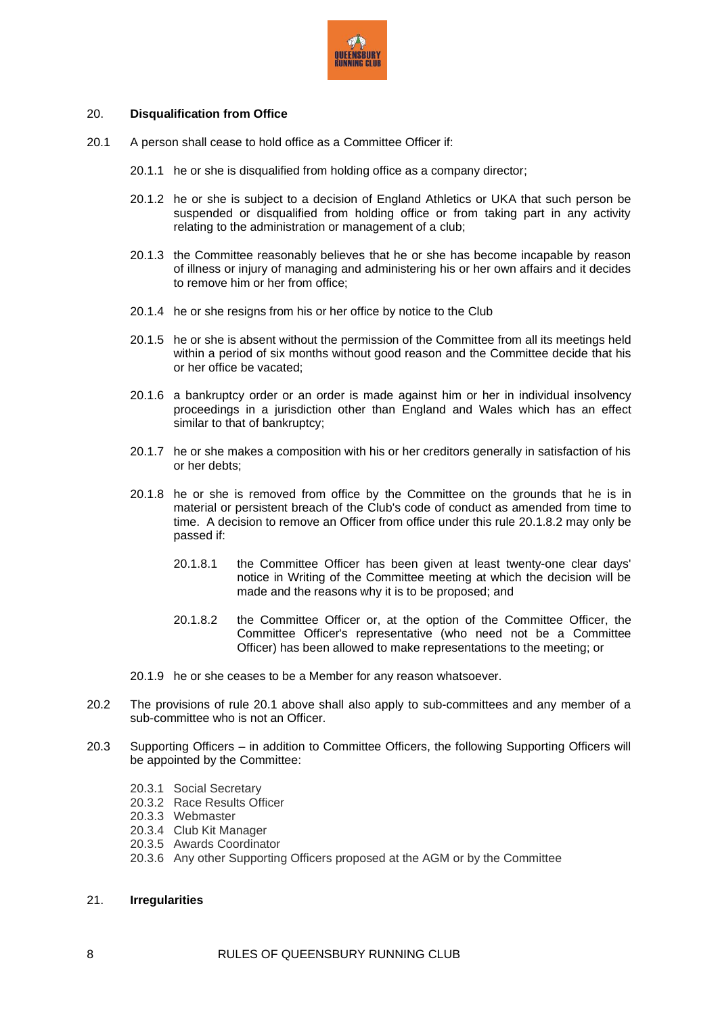

## 20. **Disqualification from Office**

- <span id="page-7-1"></span>20.1 A person shall cease to hold office as a Committee Officer if:
	- 20.1.1 he or she is disqualified from holding office as a company director;
	- 20.1.2 he or she is subject to a decision of England Athletics or UKA that such person be suspended or disqualified from holding office or from taking part in any activity relating to the administration or management of a club;
	- 20.1.3 the Committee reasonably believes that he or she has become incapable by reason of illness or injury of managing and administering his or her own affairs and it decides to remove him or her from office;
	- 20.1.4 he or she resigns from his or her office by notice to the Club
	- 20.1.5 he or she is absent without the permission of the Committee from all its meetings held within a period of six months without good reason and the Committee decide that his or her office be vacated;
	- 20.1.6 a bankruptcy order or an order is made against him or her in individual insolvency proceedings in a jurisdiction other than England and Wales which has an effect similar to that of bankruptcy;
	- 20.1.7 he or she makes a composition with his or her creditors generally in satisfaction of his or her debts;
	- 20.1.8 he or she is removed from office by the Committee on the grounds that he is in material or persistent breach of the Club's code of conduct as amended from time to time. A decision to remove an Officer from office under this rule [20.1.8.2](#page-7-0) may only be passed if:
		- 20.1.8.1 the Committee Officer has been given at least twenty-one clear days' notice in Writing of the Committee meeting at which the decision will be made and the reasons why it is to be proposed; and
		- 20.1.8.2 the Committee Officer or, at the option of the Committee Officer, the Committee Officer's representative (who need not be a Committee Officer) has been allowed to make representations to the meeting; or
	- 20.1.9 he or she ceases to be a Member for any reason whatsoever.
- <span id="page-7-0"></span>20.2 The provisions of rule [20.1](#page-7-1) above shall also apply to sub-committees and any member of a sub-committee who is not an Officer.
- 20.3 Supporting Officers in addition to Committee Officers, the following Supporting Officers will be appointed by the Committee:
	- 20.3.1 Social Secretary
	- 20.3.2 Race Results Officer
	- 20.3.3 Webmaster
	- 20.3.4 Club Kit Manager
	- 20.3.5 Awards Coordinator
	- 20.3.6 Any other Supporting Officers proposed at the AGM or by the Committee

### 21. **Irregularities**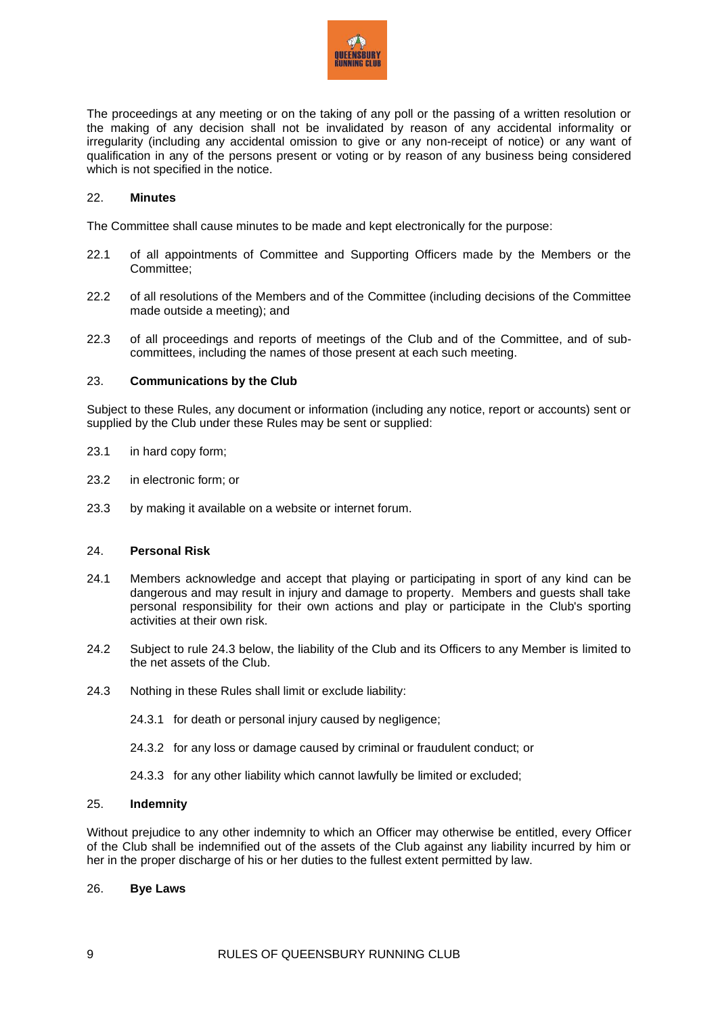

The proceedings at any meeting or on the taking of any poll or the passing of a written resolution or the making of any decision shall not be invalidated by reason of any accidental informality or irregularity (including any accidental omission to give or any non-receipt of notice) or any want of qualification in any of the persons present or voting or by reason of any business being considered which is not specified in the notice.

### 22. **Minutes**

The Committee shall cause minutes to be made and kept electronically for the purpose:

- 22.1 of all appointments of Committee and Supporting Officers made by the Members or the Committee;
- 22.2 of all resolutions of the Members and of the Committee (including decisions of the Committee made outside a meeting); and
- 22.3 of all proceedings and reports of meetings of the Club and of the Committee, and of subcommittees, including the names of those present at each such meeting.

### 23. **Communications by the Club**

Subject to these Rules, any document or information (including any notice, report or accounts) sent or supplied by the Club under these Rules may be sent or supplied:

- 23.1 in hard copy form;
- 23.2 in electronic form; or
- 23.3 by making it available on a website or internet forum.

#### 24. **Personal Risk**

- 24.1 Members acknowledge and accept that playing or participating in sport of any kind can be dangerous and may result in injury and damage to property. Members and guests shall take personal responsibility for their own actions and play or participate in the Club's sporting activities at their own risk.
- 24.2 Subject to rule [24.3](#page-8-1) below, the liability of the Club and its Officers to any Member is limited to the net assets of the Club.
- <span id="page-8-1"></span>24.3 Nothing in these Rules shall limit or exclude liability:
	- 24.3.1 for death or personal injury caused by negligence;
	- 24.3.2 for any loss or damage caused by criminal or fraudulent conduct; or
	- 24.3.3 for any other liability which cannot lawfully be limited or excluded;

#### 25. **Indemnity**

Without prejudice to any other indemnity to which an Officer may otherwise be entitled, every Officer of the Club shall be indemnified out of the assets of the Club against any liability incurred by him or her in the proper discharge of his or her duties to the fullest extent permitted by law.

#### <span id="page-8-0"></span>26. **Bye Laws**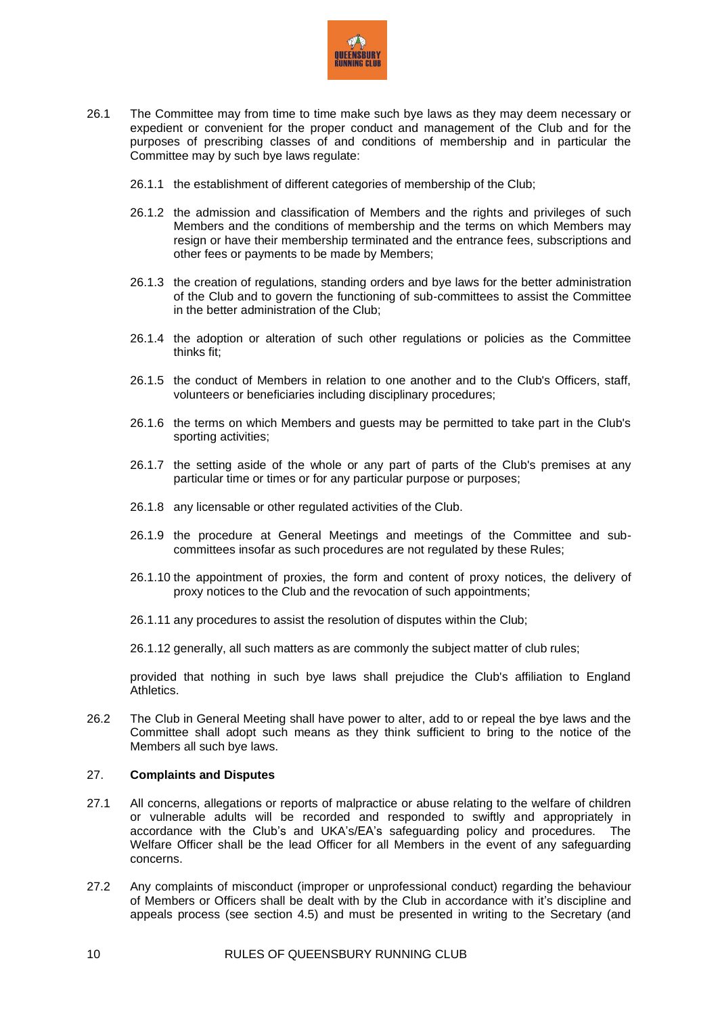

- 26.1 The Committee may from time to time make such bye laws as they may deem necessary or expedient or convenient for the proper conduct and management of the Club and for the purposes of prescribing classes of and conditions of membership and in particular the Committee may by such bye laws regulate:
	- 26.1.1 the establishment of different categories of membership of the Club;
	- 26.1.2 the admission and classification of Members and the rights and privileges of such Members and the conditions of membership and the terms on which Members may resign or have their membership terminated and the entrance fees, subscriptions and other fees or payments to be made by Members;
	- 26.1.3 the creation of regulations, standing orders and bye laws for the better administration of the Club and to govern the functioning of sub-committees to assist the Committee in the better administration of the Club;
	- 26.1.4 the adoption or alteration of such other regulations or policies as the Committee thinks fit;
	- 26.1.5 the conduct of Members in relation to one another and to the Club's Officers, staff, volunteers or beneficiaries including disciplinary procedures;
	- 26.1.6 the terms on which Members and guests may be permitted to take part in the Club's sporting activities;
	- 26.1.7 the setting aside of the whole or any part of parts of the Club's premises at any particular time or times or for any particular purpose or purposes;
	- 26.1.8 any licensable or other regulated activities of the Club.
	- 26.1.9 the procedure at General Meetings and meetings of the Committee and subcommittees insofar as such procedures are not regulated by these Rules;
	- 26.1.10 the appointment of proxies, the form and content of proxy notices, the delivery of proxy notices to the Club and the revocation of such appointments;
	- 26.1.11 any procedures to assist the resolution of disputes within the Club;
	- 26.1.12 generally, all such matters as are commonly the subject matter of club rules;

provided that nothing in such bye laws shall prejudice the Club's affiliation to England Athletics.

26.2 The Club in General Meeting shall have power to alter, add to or repeal the bye laws and the Committee shall adopt such means as they think sufficient to bring to the notice of the Members all such bye laws.

#### <span id="page-9-0"></span>27. **Complaints and Disputes**

- 27.1 All concerns, allegations or reports of malpractice or abuse relating to the welfare of children or vulnerable adults will be recorded and responded to swiftly and appropriately in accordance with the Club's and UKA's/EA's safeguarding policy and procedures. The Welfare Officer shall be the lead Officer for all Members in the event of any safeguarding concerns.
- 27.2 Any complaints of misconduct (improper or unprofessional conduct) regarding the behaviour of Members or Officers shall be dealt with by the Club in accordance with it's discipline and appeals process (see section 4.5) and must be presented in writing to the Secretary (and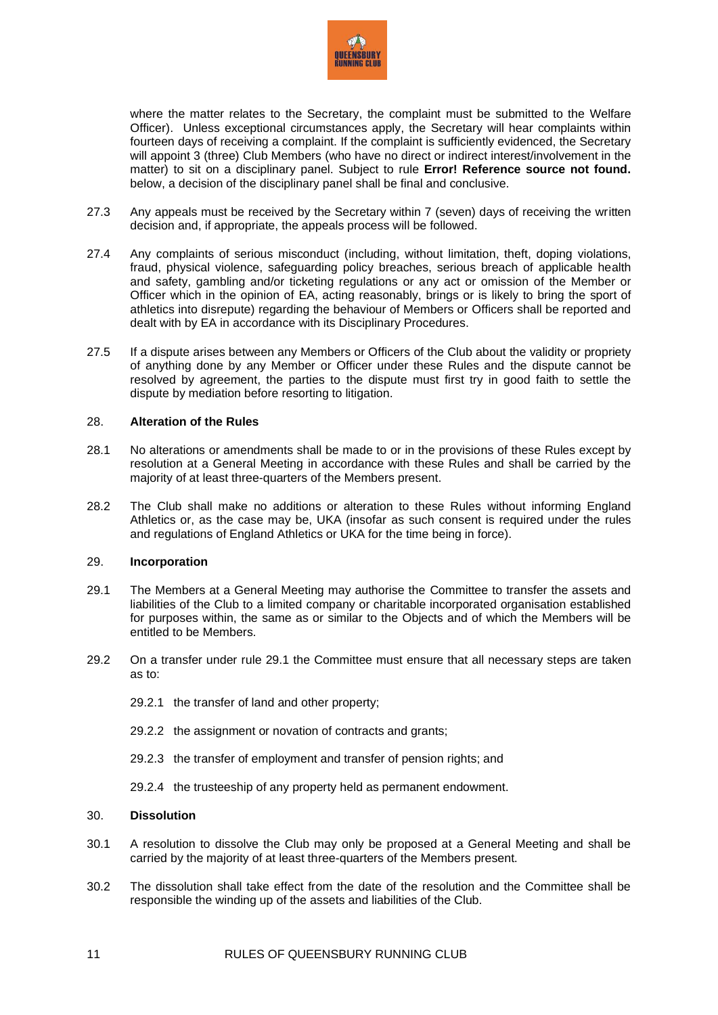

where the matter relates to the Secretary, the complaint must be submitted to the Welfare Officer).Unless exceptional circumstances apply, the Secretary will hear complaints within fourteen days of receiving a complaint. If the complaint is sufficiently evidenced, the Secretary will appoint 3 (three) Club Members (who have no direct or indirect interest/involvement in the matter) to sit on a disciplinary panel. Subject to rule **[Error! Reference source not found.](_Ref368761258)** below, a decision of the disciplinary panel shall be final and conclusive.

- 27.3 Any appeals must be received by the Secretary within 7 (seven) days of receiving the written decision and, if appropriate, the appeals process will be followed.
- 27.4 Any complaints of serious misconduct (including, without limitation, theft, doping violations, fraud, physical violence, safeguarding policy breaches, serious breach of applicable health and safety, gambling and/or ticketing regulations or any act or omission of the Member or Officer which in the opinion of EA, acting reasonably, brings or is likely to bring the sport of athletics into disrepute) regarding the behaviour of Members or Officers shall be reported and dealt with by EA in accordance with its Disciplinary Procedures.
- 27.5 If a dispute arises between any Members or Officers of the Club about the validity or propriety of anything done by any Member or Officer under these Rules and the dispute cannot be resolved by agreement, the parties to the dispute must first try in good faith to settle the dispute by mediation before resorting to litigation.

#### 28. **Alteration of the Rules**

- 28.1 No alterations or amendments shall be made to or in the provisions of these Rules except by resolution at a General Meeting in accordance with these Rules and shall be carried by the majority of at least three-quarters of the Members present.
- 28.2 The Club shall make no additions or alteration to these Rules without informing England Athletics or, as the case may be, UKA (insofar as such consent is required under the rules and regulations of England Athletics or UKA for the time being in force).

#### 29. **Incorporation**

- <span id="page-10-0"></span>29.1 The Members at a General Meeting may authorise the Committee to transfer the assets and liabilities of the Club to a limited company or charitable incorporated organisation established for purposes within, the same as or similar to the Objects and of which the Members will be entitled to be Members.
- 29.2 On a transfer under rule [29.1](#page-10-0) the Committee must ensure that all necessary steps are taken as to:
	- 29.2.1 the transfer of land and other property;
	- 29.2.2 the assignment or novation of contracts and grants;
	- 29.2.3 the transfer of employment and transfer of pension rights: and
	- 29.2.4 the trusteeship of any property held as permanent endowment.

#### 30. **Dissolution**

- 30.1 A resolution to dissolve the Club may only be proposed at a General Meeting and shall be carried by the majority of at least three-quarters of the Members present.
- 30.2 The dissolution shall take effect from the date of the resolution and the Committee shall be responsible the winding up of the assets and liabilities of the Club.